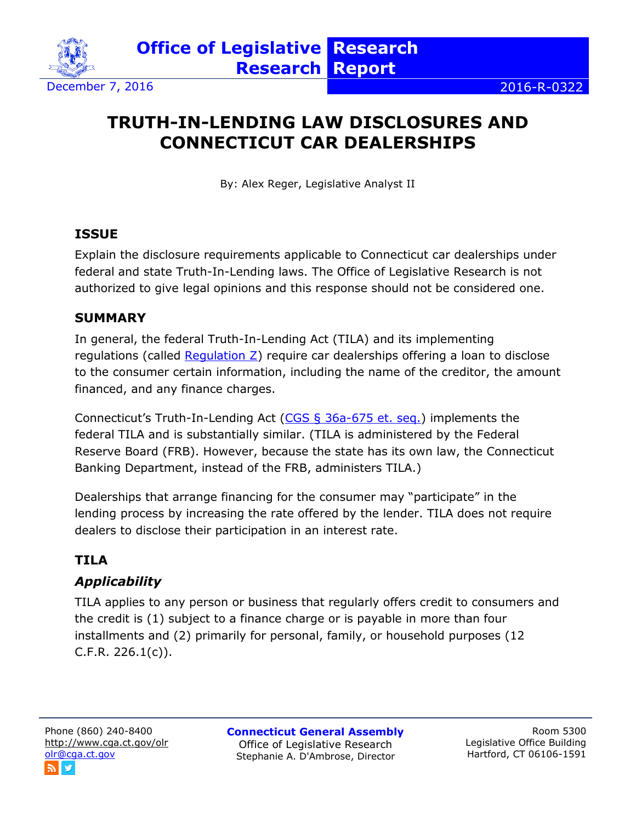

# **TRUTH-IN-LENDING LAW DISCLOSURES AND CONNECTICUT CAR DEALERSHIPS**

By: Alex Reger, Legislative Analyst II

### **ISSUE**

Explain the disclosure requirements applicable to Connecticut car dealerships under federal and state Truth-In-Lending laws. The Office of Legislative Research is not authorized to give legal opinions and this response should not be considered one.

#### **SUMMARY**

In general, the federal Truth-In-Lending Act (TILA) and its implementing regulations (called [Regulation Z\)](http://www.consumerfinance.gov/eregulations/1026) require car dealerships offering a loan to disclose to the consumer certain information, including the name of the creditor, the amount financed, and any finance charges.

Connecticut's Truth-In-Lending Act [\(CGS § 36a-675](https://www.cga.ct.gov/current/pub/chap_669.htm#sec_36a-675) et. seq.) implements the federal TILA and is substantially similar. (TILA is administered by the Federal Reserve Board (FRB). However, because the state has its own law, the Connecticut Banking Department, instead of the FRB, administers TILA.)

Dealerships that arrange financing for the consumer may "participate" in the lending process by increasing the rate offered by the lender. TILA does not require dealers to disclose their participation in an interest rate.

## **TILA**

## *Applicability*

TILA applies to any person or business that regularly offers credit to consumers and the credit is (1) subject to a finance charge or is payable in more than four installments and (2) primarily for personal, family, or household purposes (12  $C.F.R. 226.1(c)$ .

**Connecticut General Assembly** Office of Legislative Research Stephanie A. D'Ambrose, Director

Room 5300 Legislative Office Building Hartford, CT 06106-1591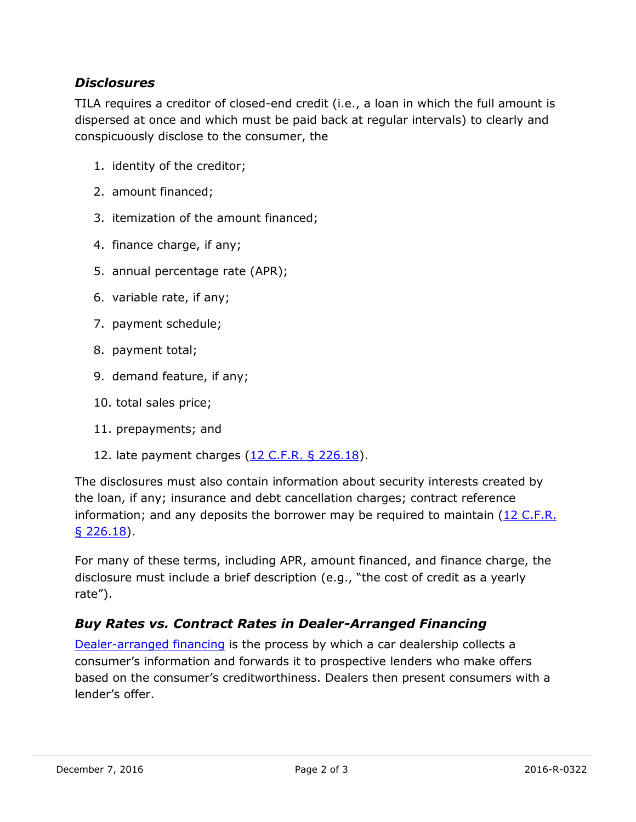### *Disclosures*

TILA requires a creditor of closed-end credit (i.e., a loan in which the full amount is dispersed at once and which must be paid back at regular intervals) to clearly and conspicuously disclose to the consumer, the

- 1. identity of the creditor;
- 2. amount financed;
- 3. itemization of the amount financed;
- 4. finance charge, if any;
- 5. annual percentage rate (APR);
- 6. variable rate, if any;
- 7. payment schedule;
- 8. payment total;
- 9. demand feature, if any;
- 10. total sales price;
- 11. prepayments; and
- 12. late payment charges [\(12 C.F.R. § 226.18\)](https://www.gpo.gov/fdsys/granule/CFR-2011-title12-vol3/CFR-2011-title12-vol3-sec226-18).

The disclosures must also contain information about security interests created by the loan, if any; insurance and debt cancellation charges; contract reference information; and any deposits the borrower may be required to maintain  $(12 \text{ C.F.R.})$ [§ 226.18\)](https://www.gpo.gov/fdsys/granule/CFR-2011-title12-vol3/CFR-2011-title12-vol3-sec226-18).

For many of these terms, including APR, amount financed, and finance charge, the disclosure must include a brief description (e.g., "the cost of credit as a yearly rate").

### *Buy Rates vs. Contract Rates in Dealer-Arranged Financing*

[Dealer-arranged financing](http://www.consumerfinance.gov/askcfpb/759/what-difference-between-dealer-arranged-and-bank-financing.html) is the process by which a car dealership collects a consumer's information and forwards it to prospective lenders who make offers based on the consumer's creditworthiness. Dealers then present consumers with a lender's offer.